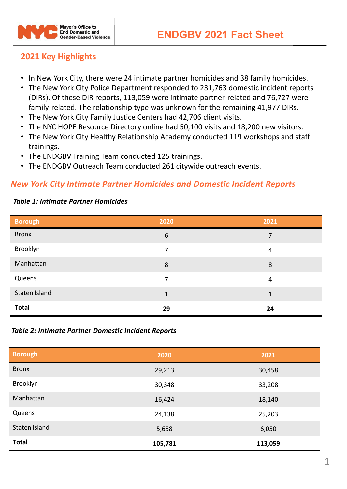

# **2021 Key Highlights**

- In New York City, there were 24 intimate partner homicides and 38 family homicides.
- The New York City Police Department responded to 231,763 domestic incident reports (DIRs). Of these DIR reports, 113,059 were intimate partner-related and 76,727 were family-related. The relationship type was unknown for the remaining 41,977 DIRs.
- The New York City Family Justice Centers had 42,706 client visits.
- The NYC HOPE Resource Directory online had 50,100 visits and 18,200 new visitors.
- The New York City Healthy Relationship Academy conducted 119 workshops and staff trainings.
- The ENDGBV Training Team conducted 125 trainings.
- The ENDGBV Outreach Team conducted 261 citywide outreach events.

## *New York City Intimate Partner Homicides and Domestic Incident Reports*

#### *Table 1: Intimate Partner Homicides*

| <b>Borough</b> | 2020 | 2021 |
|----------------|------|------|
| <b>Bronx</b>   | 6    | 7    |
| Brooklyn       | 7    | 4    |
| Manhattan      | 8    | 8    |
| Queens         | 7    | 4    |
| Staten Island  | 1    | 1    |
| <b>Total</b>   | 29   | 24   |

### *Table 2: Intimate Partner Domestic Incident Reports*

| <b>Borough</b> | 2020    | 2021    |
|----------------|---------|---------|
| <b>Bronx</b>   | 29,213  | 30,458  |
| Brooklyn       | 30,348  | 33,208  |
| Manhattan      | 16,424  | 18,140  |
| Queens         | 24,138  | 25,203  |
| Staten Island  | 5,658   | 6,050   |
| <b>Total</b>   | 105,781 | 113,059 |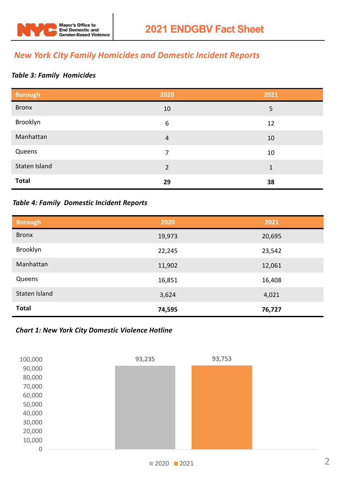

# *New York City Family Homicides and Domestic Incident Reports*

### *Table 3: Family Homicides*

| <b>Borough</b> | 2020           | 2021 |
|----------------|----------------|------|
| <b>Bronx</b>   | 10             | 5    |
| Brooklyn       | 6              | 12   |
| Manhattan      | $\overline{4}$ | 10   |
| Queens         | 7              | 10   |
| Staten Island  | $\overline{2}$ | 1    |
| <b>Total</b>   | 29             | 38   |

### *Table 4: Family Domestic Incident Reports*

| <b>Borough</b> | 2020   | 2021   |
|----------------|--------|--------|
| <b>Bronx</b>   | 19,973 | 20,695 |
| Brooklyn       | 22,245 | 23,542 |
| Manhattan      | 11,902 | 12,061 |
| Queens         | 16,851 | 16,408 |
| Staten Island  | 3,624  | 4,021  |
| <b>Total</b>   | 74,595 | 76,727 |

### *Chart 1: New York City Domestic Violence Hotline*

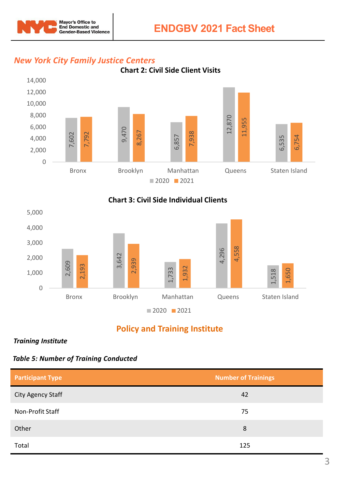



# *New York City Family Justice Centers*





# **Policy and Training Institute**

*Training Institute* 

*Table 5: Number of Training Conducted* 

| <b>Participant Type</b> | <b>Number of Trainings</b> |
|-------------------------|----------------------------|
| City Agency Staff       | 42                         |
| Non-Profit Staff        | 75                         |
| Other                   | 8                          |
| Total                   | 125                        |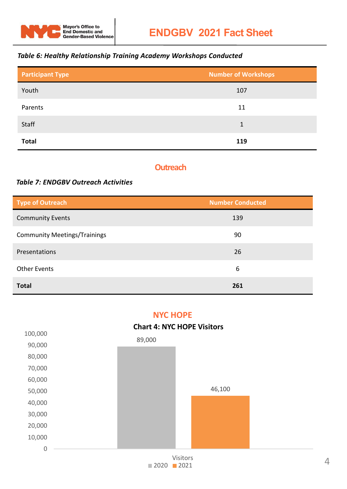

## *Table 6: Healthy Relationship Training Academy Workshops Conducted*

| <b>Participant Type</b> | <b>Number of Workshops</b> |
|-------------------------|----------------------------|
| Youth                   | 107                        |
| Parents                 | 11                         |
| Staff                   | 1                          |
| <b>Total</b>            | 119                        |

## **Outreach**

### *Table 7: ENDGBV Outreach Activities*

| Type of Outreach                    | <b>Number Conducted</b> |
|-------------------------------------|-------------------------|
| <b>Community Events</b>             | 139                     |
| <b>Community Meetings/Trainings</b> | 90                      |
| Presentations                       | 26                      |
| <b>Other Events</b>                 | 6                       |
| <b>Total</b>                        | 261                     |

## **NYC HOPE**

### **Chart 4: NYC HOPE Visitors**

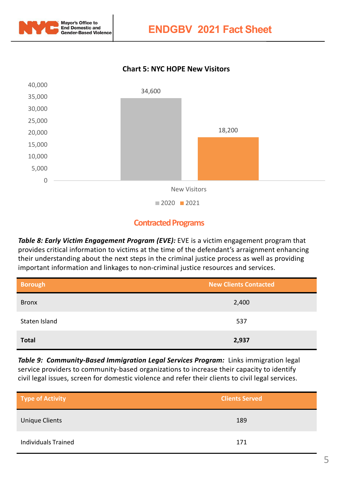

**ENDGBV 2021 Fact Sheet** 

### **Chart 5: NYC HOPE New Visitors**



## **Contracted Programs**

**Table 8: Early Victim Engagement Program (EVE):** EVE is a victim engagement program that provides critical information to victims at the time of the defendant's arraignment enhancing their understanding about the next steps in the criminal justice process as well as providing important information and linkages to non-criminal justice resources and services.

| <b>Borough</b> | <b>New Clients Contacted</b> |
|----------------|------------------------------|
| <b>Bronx</b>   | 2,400                        |
| Staten Island  | 537                          |
| <b>Total</b>   | 2,937                        |

**Table 9: Community-Based Immigration Legal Services Program:** Links immigration legal service providers to community-based organizations to increase their capacity to identify civil legal issues, screen for domestic violence and refer their clients to civil legal services.

| Type of Activity           | <b>Clients Served</b> |
|----------------------------|-----------------------|
| Unique Clients             | 189                   |
| <b>Individuals Trained</b> | 171                   |